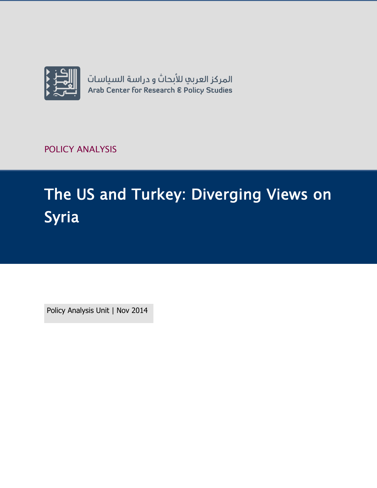

POLICY ANALYSIS

# The US and Turkey: Diverging Views on Syria

Policy Analysis Unit | Nov 2014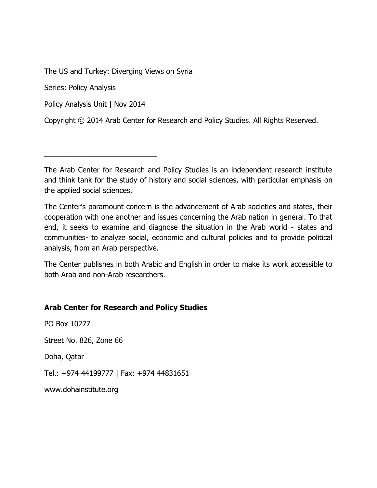The US and Turkey: Diverging Views on Syria

Series: Policy Analysis

Policy Analysis Unit | Nov 2014

\_\_\_\_\_\_\_\_\_\_\_\_\_\_\_\_\_\_\_\_\_\_\_\_\_\_\_\_

Copyright © 2014 Arab Center for Research and Policy Studies. All Rights Reserved.

The Arab Center for Research and Policy Studies is an independent research institute and think tank for the study of history and social sciences, with particular emphasis on the applied social sciences.

The Center's paramount concern is the advancement of Arab societies and states, their cooperation with one another and issues concerning the Arab nation in general. To that end, it seeks to examine and diagnose the situation in the Arab world - states and communities- to analyze social, economic and cultural policies and to provide political analysis, from an Arab perspective.

The Center publishes in both Arabic and English in order to make its work accessible to both Arab and non-Arab researchers.

#### **Arab Center for Research and Policy Studies**

PO Box 10277 Street No. 826, Zone 66 Doha, Qatar Tel.: +974 44199777 | Fax: +974 44831651 [www.dohainstitute.org](file:///C:/Users/dena.qaddumi/Desktop/www.dohainstitute.org)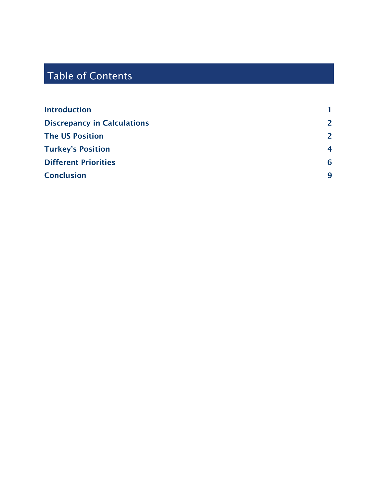# Table of Contents

| <b>Introduction</b>                |                |
|------------------------------------|----------------|
| <b>Discrepancy in Calculations</b> | $\overline{2}$ |
| <b>The US Position</b>             | $\overline{2}$ |
| <b>Turkey's Position</b>           | $\overline{4}$ |
| <b>Different Priorities</b>        | 6              |
| <b>Conclusion</b>                  | 9              |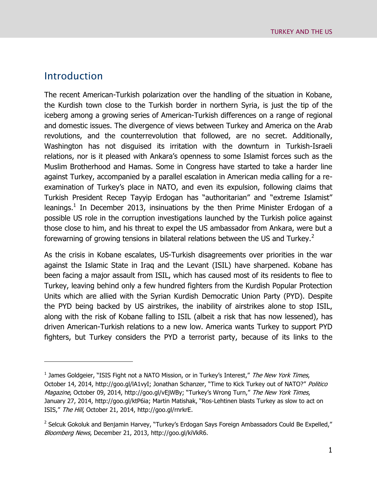## <span id="page-4-0"></span>Introduction

 $\overline{a}$ 

The recent American-Turkish polarization over the handling of the situation in Kobane, the Kurdish town close to the Turkish border in northern Syria, is just the tip of the iceberg among a growing series of American-Turkish differences on a range of regional and domestic issues. The divergence of views between Turkey and America on the Arab revolutions, and the counterrevolution that followed, are no secret. Additionally, Washington has not disguised its irritation with the downturn in Turkish-Israeli relations, nor is it pleased with Ankara's openness to some Islamist forces such as the Muslim Brotherhood and Hamas. Some in Congress have started to take a harder line against Turkey, accompanied by a parallel escalation in American media calling for a reexamination of Turkey's place in NATO, and even its expulsion, following claims that Turkish President Recep Tayyip Erdogan has "authoritarian" and "extreme Islamist" leanings.<sup>1</sup> In December 2013, insinuations by the then Prime Minister Erdogan of a possible US role in the corruption investigations launched by the Turkish police against those close to him, and his threat to expel the US ambassador from Ankara, were but a forewarning of growing tensions in bilateral relations between the US and Turkey.<sup>2</sup>

As the crisis in Kobane escalates, US-Turkish disagreements over priorities in the war against the Islamic State in Iraq and the Levant (ISIL) have sharpened. Kobane has been facing a major assault from ISIL, which has caused most of its residents to flee to Turkey, leaving behind only a few hundred fighters from the Kurdish Popular Protection Units which are allied with the Syrian Kurdish Democratic Union Party (PYD). Despite the PYD being backed by US airstrikes, the inability of airstrikes alone to stop ISIL, along with the risk of Kobane falling to ISIL (albeit a risk that has now lessened), has driven American-Turkish relations to a new low. America wants Turkey to support PYD fighters, but Turkey considers the PYD a terrorist party, because of its links to the

<sup>&</sup>lt;sup>1</sup> James Goldgeier, "ISIS Fight not a NATO Mission, or in Turkey's Interest," The New York Times, October 14, 2014, http://goo.gl/lA1vyI; Jonathan Schanzer, "Time to Kick Turkey out of NATO?" Politico Magazine, October 09, 2014, http://goo.gl/vEjWBy; "Turkey's Wrong Turn," The New York Times, January 27, 2014, http://goo.gl/ktP6ia; Martin Matishak, "Ros-Lehtinen blasts Turkey as slow to act on ISIS," The Hill, October 21, 2014, http://goo.gl/rnrkrE.

<sup>&</sup>lt;sup>2</sup> Selcuk Gokoluk and Benjamin Harvey, "Turkey's Erdogan Says Foreign Ambassadors Could Be Expelled," Bloomberg News, December 21, 2013, http://goo.gl/kiVkR6.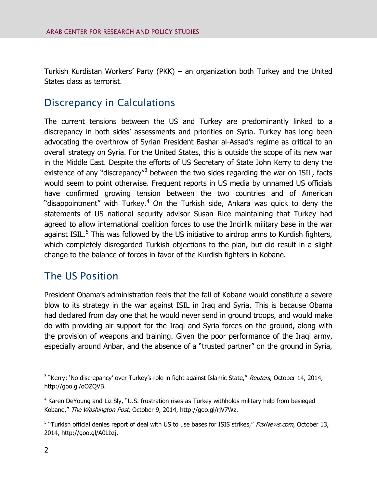Turkish Kurdistan Workers' Party (PKK) – an organization both Turkey and the United States class as terrorist.

# <span id="page-5-0"></span>Discrepancy in Calculations

The current tensions between the US and Turkey are predominantly linked to a discrepancy in both sides' assessments and priorities on Syria. Turkey has long been advocating the overthrow of Syrian President Bashar al-Assad's regime as critical to an overall strategy on Syria. For the United States, this is outside the scope of its new war in the Middle East. Despite the efforts of US Secretary of State John Kerry to deny the existence of any "discrepancy"<sup>3</sup> between the two sides regarding the war on ISIL, facts would seem to point otherwise. Frequent reports in US media by unnamed US officials have confirmed growing tension between the two countries and of American "disappointment" with Turkey.<sup>4</sup> On the Turkish side, Ankara was quick to deny the statements of US national security advisor Susan Rice maintaining that Turkey had agreed to allow international coalition forces to use the Incirlik military base in the war against ISIL.<sup>5</sup> This was followed by the US initiative to airdrop arms to Kurdish fighters, which completely disregarded Turkish objections to the plan, but did result in a slight change to the balance of forces in favor of the Kurdish fighters in Kobane.

# <span id="page-5-1"></span>The US Position

President Obama's administration feels that the fall of Kobane would constitute a severe blow to its strategy in the war against ISIL in Iraq and Syria. This is because Obama had declared from day one that he would never send in ground troops, and would make do with providing air support for the Iraqi and Syria forces on the ground, along with the provision of weapons and training. Given the poor performance of the Iraqi army, especially around Anbar, and the absence of a "trusted partner" on the ground in Syria,

<sup>&</sup>lt;sup>3</sup> "Kerry: 'No discrepancy' over Turkey's role in fight against Islamic State," Reuters, October 14, 2014, http://goo.gl/oOZQVB.

<sup>&</sup>lt;sup>4</sup> Karen DeYoung and Liz Sly, "U.S. frustration rises as Turkey withholds military help from besieged Kobane," The Washington Post, October 9, 2014, http://goo.gl/rjV7Wz.

<sup>&</sup>lt;sup>5</sup> "Turkish official denies report of deal with US to use bases for ISIS strikes," FoxNews.com, October 13, 2014, http://goo.gl/A0Lbzj.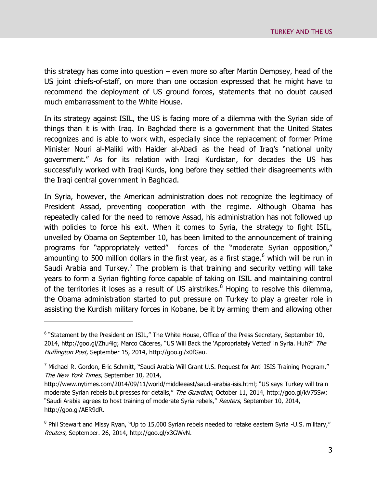this strategy has come into question – even more so after Martin Dempsey, head of the US joint chiefs-of-staff, on more than one occasion expressed that he might have to recommend the deployment of US ground forces, statements that no doubt caused much embarrassment to the White House.

In its strategy against ISIL, the US is facing more of a dilemma with the Syrian side of things than it is with Iraq. In Baghdad there is a government that the United States recognizes and is able to work with, especially since the replacement of former Prime Minister Nouri al-Maliki with Haider al-Abadi as the head of Iraq's "national unity government." As for its relation with Iraqi Kurdistan, for decades the US has successfully worked with Iraqi Kurds, long before they settled their disagreements with the Iraqi central government in Baghdad.

In Syria, however, the American administration does not recognize the legitimacy of President Assad, preventing cooperation with the regime. Although Obama has repeatedly called for the need to remove Assad, his administration has not followed up with policies to force his exit. When it comes to Syria, the strategy to fight ISIL, unveiled by Obama on September 10, has been limited to the announcement of training programs for "appropriately vetted" forces of the "moderate Syrian opposition," amounting to 500 million dollars in the first year, as a first stage, $6$  which will be run in Saudi Arabia and Turkey.<sup>7</sup> The problem is that training and security vetting will take years to form a Syrian fighting force capable of taking on ISIL and maintaining control of the territories it loses as a result of US airstrikes.<sup>8</sup> Hoping to resolve this dilemma, the Obama administration started to put pressure on Turkey to play a greater role in assisting the Kurdish military forces in Kobane, be it by arming them and allowing other

 $6$  "Statement by the President on ISIL," The White House, Office of the Press Secretary, September 10, 2014, http://goo.gl/Zhu4ig; Marco Cáceres, "US Will Back the 'Appropriately Vetted' in Syria. Huh?" The Huffington Post, September 15, 2014, http://goo.gl/x0fGau.

 $7$  Michael R. Gordon, Eric Schmitt, "Saudi Arabia Will Grant U.S. Request for Anti-ISIS Training Program," The New York Times, September 10, 2014,

http://www.nytimes.com/2014/09/11/world/middleeast/saudi-arabia-isis.html; "US says Turkey will train moderate Syrian rebels but presses for details," The Guardian, October 11, 2014, http://goo.gl/kV75Sw; "Saudi Arabia agrees to host training of moderate Syria rebels," Reuters, September 10, 2014, http://goo.gl/AER9dR.

<sup>&</sup>lt;sup>8</sup> Phil Stewart and Missy Ryan, "Up to 15,000 Syrian rebels needed to retake eastern Syria -U.S. military," Reuters, September. 26, 2014, http://goo.gl/x3GWvN.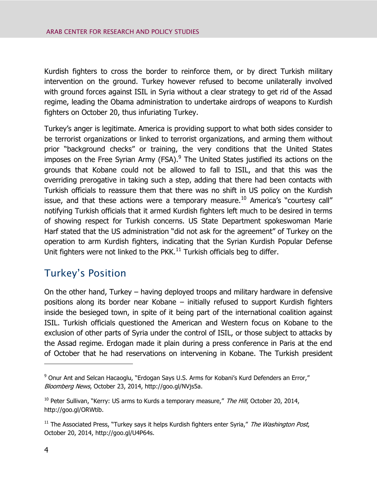Kurdish fighters to cross the border to reinforce them, or by direct Turkish military intervention on the ground. Turkey however refused to become unilaterally involved with ground forces against ISIL in Syria without a clear strategy to get rid of the Assad regime, leading the Obama administration to undertake airdrops of weapons to Kurdish fighters on October 20, thus infuriating Turkey.

Turkey's anger is legitimate. America is providing support to what both sides consider to be terrorist organizations or linked to terrorist organizations, and arming them without prior "background checks" or training, the very conditions that the United States imposes on the Free Syrian Army (FSA).<sup>9</sup> The United States justified its actions on the grounds that Kobane could not be allowed to fall to ISIL, and that this was the overriding prerogative in taking such a step, adding that there had been contacts with Turkish officials to reassure them that there was no shift in US policy on the Kurdish issue, and that these actions were a temporary measure.<sup>10</sup> America's "courtesy call" notifying Turkish officials that it armed Kurdish fighters left much to be desired in terms of showing respect for Turkish concerns. US State Department spokeswoman Marie Harf stated that the US administration "did not ask for the agreement" of Turkey on the operation to arm Kurdish fighters, indicating that the Syrian Kurdish Popular Defense Unit fighters were not linked to the PKK. $^{11}$  Turkish officials beg to differ.

# <span id="page-7-0"></span>Turkey's Position

On the other hand, Turkey – having deployed troops and military hardware in defensive positions along its border near Kobane – initially refused to support Kurdish fighters inside the besieged town, in spite of it being part of the international coalition against ISIL. Turkish officials questioned the American and Western focus on Kobane to the exclusion of other parts of Syria under the control of ISIL, or those subject to attacks by the Assad regime. Erdogan made it plain during a press conference in Paris at the end of October that he had reservations on intervening in Kobane. The Turkish president

<sup>&</sup>lt;sup>9</sup> Onur Ant and Selcan Hacaoglu, "Erdogan Says U.S. Arms for Kobani's Kurd Defenders an Error," Bloomberg News, October 23, 2014, http://goo.gl/NVjs5a.

 $10$  Peter Sullivan, "Kerry: US arms to Kurds a temporary measure," The Hill, October 20, 2014, http://goo.gl/ORWtib.

 $11$  The Associated Press, "Turkey says it helps Kurdish fighters enter Syria," The Washington Post, October 20, 2014, http://goo.gl/U4P64s.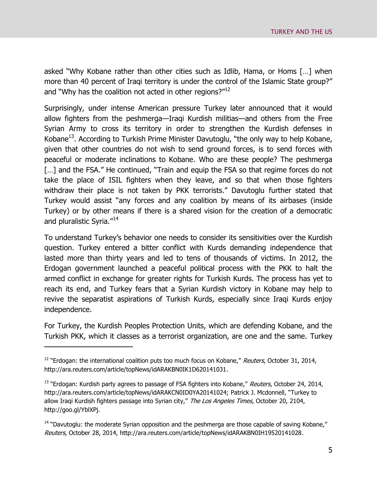asked "Why Kobane rather than other cities such as Idlib, Hama, or Homs […] when more than 40 percent of Iraqi territory is under the control of the Islamic State group?" and "Why has the coalition not acted in other regions?"<sup>12</sup>

Surprisingly, under intense American pressure Turkey later announced that it would allow fighters from the peshmerga—Iraqi Kurdish militias—and others from the Free Syrian Army to cross its territory in order to strengthen the Kurdish defenses in Kobane<sup>13</sup>. According to Turkish Prime Minister Davutoglu, "the only way to help Kobane, given that other countries do not wish to send ground forces, is to send forces with peaceful or moderate inclinations to Kobane. Who are these people? The peshmerga [...] and the FSA." He continued, "Train and equip the FSA so that regime forces do not take the place of ISIL fighters when they leave, and so that when those fighters withdraw their place is not taken by PKK terrorists." Davutoglu further stated that Turkey would assist "any forces and any coalition by means of its airbases (inside Turkey) or by other means if there is a shared vision for the creation of a democratic and pluralistic Syria."<sup>14</sup>

To understand Turkey's behavior one needs to consider its sensitivities over the Kurdish question. Turkey entered a bitter conflict with Kurds demanding independence that lasted more than thirty years and led to tens of thousands of victims. In 2012, the Erdogan government launched a peaceful political process with the PKK to halt the armed conflict in exchange for greater rights for Turkish Kurds. The process has yet to reach its end, and Turkey fears that a Syrian Kurdish victory in Kobane may help to revive the separatist aspirations of Turkish Kurds, especially since Iraqi Kurds enjoy independence.

For Turkey, the Kurdish Peoples Protection Units, which are defending Kobane, and the Turkish PKK, which it classes as a terrorist organization, are one and the same. Turkey

 $12$  "Erdogan: the international coalition puts too much focus on Kobane," Reuters, October 31, 2014, http://ara.reuters.com/article/topNews/idARAKBN0IK1D620141031.

<sup>&</sup>lt;sup>13</sup> "Erdogan: Kurdish party agrees to passage of FSA fighters into Kobane," Reuters, October 24, 2014, http://ara.reuters.com/article/topNews/idARAKCN0ID0YA20141024; Patrick J. Mcdonnell, "Turkey to allow Iraqi Kurdish fighters passage into Syrian city," The Los Angeles Times, October 20, 2104, http://goo.gl/YblXPj.

<sup>&</sup>lt;sup>14</sup> "Davutoglu: the moderate Syrian opposition and the peshmerga are those capable of saving Kobane," Reuters, October 28, 2014, http://ara.reuters.com/article/topNews/idARAKBN0IH19520141028.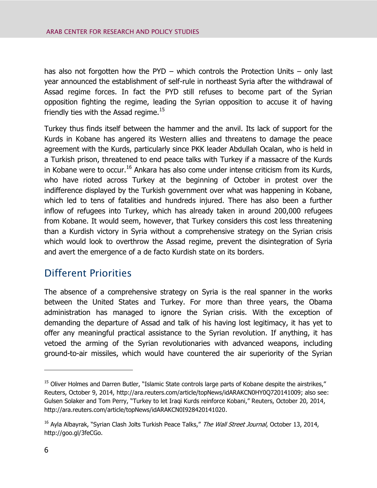has also not forgotten how the PYD – which controls the Protection Units – only last year announced the establishment of self-rule in northeast Syria after the withdrawal of Assad regime forces. In fact the PYD still refuses to become part of the Syrian opposition fighting the regime, leading the Syrian opposition to accuse it of having friendly ties with the Assad regime. $^{15}$ 

Turkey thus finds itself between the hammer and the anvil. Its lack of support for the Kurds in Kobane has angered its Western allies and threatens to damage the peace agreement with the Kurds, particularly since PKK leader Abdullah Ocalan, who is held in a Turkish prison, threatened to end peace talks with Turkey if a massacre of the Kurds in Kobane were to occur.<sup>16</sup> Ankara has also come under intense criticism from its Kurds, who have rioted across Turkey at the beginning of October in protest over the indifference displayed by the Turkish government over what was happening in Kobane, which led to tens of fatalities and hundreds injured. There has also been a further inflow of refugees into Turkey, which has already taken in around 200,000 refugees from Kobane. It would seem, however, that Turkey considers this cost less threatening than a Kurdish victory in Syria without a comprehensive strategy on the Syrian crisis which would look to overthrow the Assad regime, prevent the disintegration of Syria and avert the emergence of a de facto Kurdish state on its borders.

## <span id="page-9-0"></span>Different Priorities

The absence of a comprehensive strategy on Syria is the real spanner in the works between the United States and Turkey. For more than three years, the Obama administration has managed to ignore the Syrian crisis. With the exception of demanding the departure of Assad and talk of his having lost legitimacy, it has yet to offer any meaningful practical assistance to the Syrian revolution. If anything, it has vetoed the arming of the Syrian revolutionaries with advanced weapons, including ground-to-air missiles, which would have countered the air superiority of the Syrian

<sup>&</sup>lt;sup>15</sup> Oliver Holmes and Darren Butler, "Islamic State controls large parts of Kobane despite the airstrikes," Reuters, October 9, 2014, http://ara.reuters.com/article/topNews/idARAKCN0HY0Q720141009; also see: Gulsen Solaker and Tom Perry, "Turkey to let Iraqi Kurds reinforce Kobani," Reuters, October 20, 2014, http://ara.reuters.com/article/topNews/idARAKCN0I928420141020.

<sup>&</sup>lt;sup>16</sup> Ayla Albayrak, "Syrian Clash Jolts Turkish Peace Talks," The Wall Street Journal, October 13, 2014, http://goo.gl/3feCGo.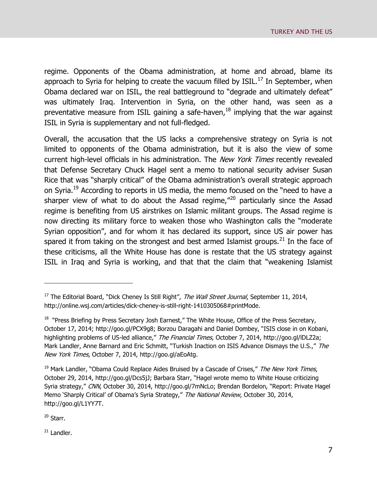regime. Opponents of the Obama administration, at home and abroad, blame its approach to Syria for helping to create the vacuum filled by  $ISIL<sup>17</sup>$  In September, when Obama declared war on ISIL, the real battleground to "degrade and ultimately defeat" was ultimately Iraq. Intervention in Syria, on the other hand, was seen as a preventative measure from ISIL gaining a safe-haven, $18$  implying that the war against ISIL in Syria is supplementary and not full-fledged.

Overall, the accusation that the US lacks a comprehensive strategy on Syria is not limited to opponents of the Obama administration, but it is also the view of some current high-level officials in his administration. The New York Times recently revealed that Defense Secretary Chuck Hagel sent a memo to national security adviser Susan Rice that was "sharply critical" of the Obama administration's overall strategic approach on Syria.<sup>19</sup> According to reports in US media, the memo focused on the "need to have a sharper view of what to do about the Assad regime,"<sup>20</sup> particularly since the Assad regime is benefiting from US airstrikes on Islamic militant groups. The Assad regime is now directing its military force to weaken those who Washington calls the "moderate Syrian opposition", and for whom it has declared its support, since US air power has spared it from taking on the strongest and best armed Islamist groups.<sup>21</sup> In the face of these criticisms, all the White House has done is restate that the US strategy against ISIL in Iraq and Syria is working, and that that the claim that "weakening Islamist

<sup>20</sup> Starr.

 $\overline{a}$ 

 $21$  Landler.

<sup>&</sup>lt;sup>17</sup> The Editorial Board, "Dick Cheney Is Still Right", The Wall Street Journal, September 11, 2014, http://online.wsj.com/articles/dick-cheney-is-still-right-1410305068#printMode.

 $18$  "Press Briefing by Press Secretary Josh Earnest," The White House, Office of the Press Secretary, October 17, 2014; http://goo.gl/PCX9g8; Borzou Daragahi and Daniel Dombey, "ISIS close in on Kobani, highlighting problems of US-led alliance," The Financial Times, October 7, 2014, http://goo.gl/IDLZ2a; Mark Landler, Anne Barnard and Eric Schmitt, "Turkish Inaction on ISIS Advance Dismays the U.S.," The New York Times, October 7, 2014, http://goo.gl/aEoAtg.

 $19$  Mark Landler, "Obama Could Replace Aides Bruised by a Cascade of Crises," The New York Times, October 29, 2014, http://goo.gl/Dcs5jJ; Barbara Starr, "Hagel wrote memo to White House criticizing Syria strategy," CNN, October 30, 2014, http://goo.gl/7mNcLo; Brendan Bordelon, "Report: Private Hagel Memo 'Sharply Critical' of Obama's Syria Strategy," The National Review, October 30, 2014, http://goo.gl/L1YY7T.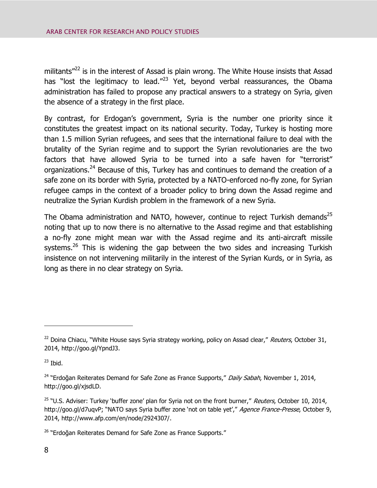militants $"^{22}$  is in the interest of Assad is plain wrong. The White House insists that Assad has "lost the legitimacy to lead." $^{23}$  Yet, beyond verbal reassurances, the Obama administration has failed to propose any practical answers to a strategy on Syria, given the absence of a strategy in the first place.

By contrast, for Erdogan's government, Syria is the number one priority since it constitutes the greatest impact on its national security. Today, Turkey is hosting more than 1.5 million Syrian refugees, and sees that the international failure to deal with the brutality of the Syrian regime and to support the Syrian revolutionaries are the two factors that have allowed Syria to be turned into a safe haven for "terrorist" organizations.<sup>24</sup> Because of this, Turkey has and continues to demand the creation of a safe zone on its border with Syria, protected by a NATO-enforced no-fly zone, for Syrian refugee camps in the context of a broader policy to bring down the Assad regime and neutralize the Syrian Kurdish problem in the framework of a new Syria.

The Obama administration and NATO, however, continue to reject Turkish demands<sup>25</sup> noting that up to now there is no alternative to the Assad regime and that establishing a no-fly zone might mean war with the Assad regime and its anti-aircraft missile systems.<sup>26</sup> This is widening the gap between the two sides and increasing Turkish insistence on not intervening militarily in the interest of the Syrian Kurds, or in Syria, as long as there in no clear strategy on Syria.

<sup>&</sup>lt;sup>22</sup> Doina Chiacu, "White House says Syria strategy working, policy on Assad clear," Reuters, October 31, 2014, http://goo.gl/YpndJ3.

 $23$  Ibid.

<sup>&</sup>lt;sup>24</sup> "Erdoğan Reiterates Demand for Safe Zone as France Supports," Daily Sabah, November 1, 2014, http://goo.gl/xjsdLD.

<sup>&</sup>lt;sup>25</sup> "U.S. Adviser: Turkey 'buffer zone' plan for Syria not on the front burner," Reuters, October 10, 2014, http://goo.gl/d7uqvP; "NATO says Syria buffer zone 'not on table yet'," Agence France-Presse, October 9, 2014, http://www.afp.com/en/node/2924307/.

<sup>&</sup>lt;sup>26</sup> "Erdoğan Reiterates Demand for Safe Zone as France Supports."